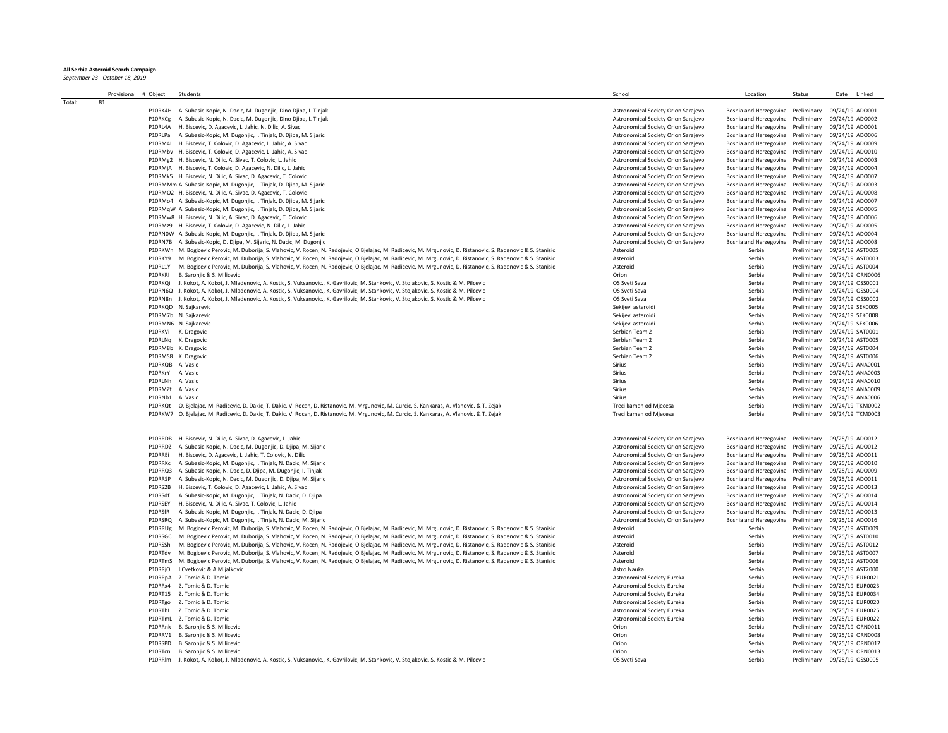## **All Serbia Asteroid Search Campaign** *September 23 - October 18, 2019*

|        | Provisional # Object |         | Students                                                                                                                                                          | School                              | Location                           | Status                       | Date Linked      |
|--------|----------------------|---------|-------------------------------------------------------------------------------------------------------------------------------------------------------------------|-------------------------------------|------------------------------------|------------------------------|------------------|
| Total: | 81                   |         |                                                                                                                                                                   |                                     |                                    |                              |                  |
|        |                      |         | P10RK4H A. Subasic-Kopic, N. Dacic, M. Dugonijc, Dino Dijna, J. Tinjak                                                                                            | Astronomical Society Orion Sarajevo | Bosnia and Herzegovina Preliminary |                              | 09/24/19 ADO001  |
|        |                      | P10RKCg | A. Subasic-Kopic, N. Dacic, M. Dugonjic, Dino Djipa, I. Tinjak                                                                                                    | Astronomical Society Orion Sarajevo | Bosnia and Herzegovina Preliminary |                              | 09/24/19 ADO002  |
|        |                      | P10RL4A | H. Biscevic, D. Agacevic, L. Jahic, N. Dilic, A. Sivac                                                                                                            | Astronomical Society Orion Sarajevo | Bosnia and Herzegovina Preliminary |                              | 09/24/19 ADO001  |
|        |                      | P10RLPa | A. Subasic-Kopic, M. Dugonjic, I. Tinjak, D. Djipa, M. Sijaric                                                                                                    | Astronomical Society Orion Sarajevo | Bosnia and Herzegovina Preliminary |                              | 09/24/19 ADO006  |
|        |                      |         | P10RM4I H. Biscevic, T. Colovic, D. Agacevic, L. Jahic, A. Sivac                                                                                                  | Astronomical Society Orion Sarajevo | Bosnia and Herzegovina Preliminary |                              | 09/24/19 ADO009  |
|        |                      |         | P10RMbv H. Biscevic, T. Colovic, D. Agacevic, L. Jahic, A. Sivac                                                                                                  | Astronomical Society Orion Sarajevo | Bosnia and Herzegovina Preliminary |                              | 09/24/19 ADO010  |
|        |                      |         | P10RMg2 H. Biscevic, N. Dilic, A. Sivac, T. Colovic, L. Jahic                                                                                                     | Astronomical Society Orion Sarajevo | Bosnia and Herzegovina Preliminary |                              | 09/24/19 ADO003  |
|        |                      |         | P10RMjA H. Biscevic, T. Colovic, D. Agacevic, N. Dilic, L. Jahic                                                                                                  | Astronomical Society Orion Sarajevo | Bosnia and Herzegovina Preliminary |                              | 09/24/19 ADO004  |
|        |                      |         | P10RMk5 H. Biscevic, N. Dilic, A. Sivac, D. Agacevic, T. Colovic                                                                                                  | Astronomical Society Orion Sarajevo | Bosnia and Herzegovina Preliminary |                              | 09/24/19 ADO007  |
|        |                      |         | P10RMMm A. Subasic-Kopic, M. Dugonjic, I. Tinjak, D. Djipa, M. Sijaric                                                                                            | Astronomical Society Orion Sarajevo | Bosnia and Herzegovina Preliminary |                              | 09/24/19 ADO003  |
|        |                      |         | P10RMO2 H. Biscevic, N. Dilic, A. Sivac, D. Agacevic, T. Colovic                                                                                                  | Astronomical Society Orion Sarajevo | Bosnia and Herzegovina Preliminary |                              | 09/24/19 ADO008  |
|        |                      |         | P10RMo4 A. Subasic-Kopic, M. Dugonjic, I. Tinjak, D. Djipa, M. Sijaric                                                                                            | Astronomical Society Orion Sarajevo | Bosnia and Herzegovina             | Preliminary                  | 09/24/19 ADO007  |
|        |                      |         |                                                                                                                                                                   |                                     |                                    |                              |                  |
|        |                      |         | P10RMqW A. Subasic-Kopic, M. Dugonjic, I. Tinjak, D. Djipa, M. Sijaric                                                                                            | Astronomical Society Orion Sarajevo | Bosnia and Herzegovina Preliminary |                              | 09/24/19 ADO005  |
|        |                      |         | P10RMw8 H. Biscevic, N. Dilic, A. Sivac, D. Agacevic, T. Colovic                                                                                                  | Astronomical Society Orion Sarajevo | Bosnia and Herzegovina Preliminary |                              | 09/24/19 ADO006  |
|        |                      |         | P10RMz9 H. Biscevic, T. Colovic, D. Agacevic, N. Dilic, L. Jahic                                                                                                  | Astronomical Society Orion Sarajevo | Bosnia and Herzegovina             | Preliminary                  | 09/24/19 ADO005  |
|        |                      |         | P10RNOW A. Subasic-Kopic, M. Dugonjic, I. Tinjak, D. Djipa, M. Sijaric                                                                                            | Astronomical Society Orion Sarajevo | Bosnia and Herzegovina             | Preliminary                  | 09/24/19 ADO004  |
|        |                      |         | P10RN7B A. Subasic-Kopic, D. Djipa, M. Sijaric, N. Dacic, M. Dugonjic                                                                                             | Astronomical Society Orion Sarajevo | Bosnia and Herzegovina             | Preliminary                  | 09/24/19 ADO008  |
|        |                      |         | P10RKWh M. Bogicevic Perovic, M. Duborija, S. Vlahovic, V. Rocen, N. Radojevic, O Bjelajac, M. Radicevic, M. Mrgunovic, D. Ristanovic, S. Radenovic & S. Stanisic | Asteroid                            | Serbia                             | Preliminary                  | 09/24/19 AST0005 |
|        |                      | P10RKY9 | M. Bogicevic Perovic, M. Duborija, S. Vlahovic, V. Rocen, N. Radojevic, O Bjelajac, M. Radicevic, M. Mrgunovic, D. Ristanovic, S. Radenovic & S. Stanisic         | Asteroid                            | Serbia                             | Preliminary                  | 09/24/19 AST0003 |
|        |                      | P10RL1Y | M. Bogicevic Perovic, M. Duborija, S. Vlahovic, V. Rocen, N. Radojevic, O Bjelajac, M. Radicevic, M. Mrgunovic, D. Ristanovic, S. Radenovic & S. Stanisic         | Asteroid                            | Serbia                             | Preliminary                  | 09/24/19 AST0004 |
|        |                      | P10RKRI | B. Saronjic & S. Milicevic                                                                                                                                        | Orion                               | Serbia                             | Preliminary                  | 09/24/19 ORN0006 |
|        |                      | P10RKQi | J. Kokot, A. Kokot, J. Mladenovic, A. Kostic, S. Vuksanovic., K. Gavrilovic, M. Stankovic, V. Stojakovic, S. Kostic & M. Pilcevic                                 | OS Sveti Sava                       | Serbia                             | Preliminary                  | 09/24/19 OSS0001 |
|        |                      |         | P10RN6Q J. Kokot, A. Kokot, J. Mladenovic, A. Kostic, S. Vuksanovic., K. Gavrilovic, M. Stankovic, V. Stojakovic, S. Kostic & M. Pilcevic                         | OS Sveti Sava                       | Serbia                             | Preliminary                  | 09/24/19 OSS0004 |
|        |                      | P10RN8n | J. Kokot, A. Kokot, J. Mladenovic, A. Kostic, S. Vuksanovic., K. Gavrilovic, M. Stankovic, V. Stojakovic, S. Kostic & M. Pilcevic                                 | OS Sveti Sava                       | Serbia                             | Preliminary                  | 09/24/19 OSS0002 |
|        |                      |         | P10RKQD N. Sajkarevic                                                                                                                                             | Sekijevi asteroidi                  | Serbia                             | Preliminary                  | 09/24/19 SEK0005 |
|        |                      |         | P10RM7b N. Sajkarevic                                                                                                                                             | Sekijevi asteroidi                  | Serbia                             | Preliminary                  | 09/24/19 SEK0008 |
|        |                      |         | P10RMN6 N. Sajkarevic                                                                                                                                             | Sekijevi asteroidi                  | Serbia                             | Preliminary                  | 09/24/19 SEK0006 |
|        |                      | P10RKVi | K. Dragovic                                                                                                                                                       | Serbian Team 2                      | Serbia                             | Preliminary                  | 09/24/19 SAT0001 |
|        |                      |         | K. Dragovic                                                                                                                                                       | Serbian Team 2                      | Serbia                             | Preliminary                  | 09/24/19 AST0005 |
|        |                      | P10RLNq |                                                                                                                                                                   |                                     |                                    |                              |                  |
|        |                      | P10RM8b | K. Dragovic                                                                                                                                                       | Serbian Team 2                      | Serbia                             | Preliminary                  | 09/24/19 AST0004 |
|        |                      |         | P10RMS8 K. Dragovic                                                                                                                                               | Serbian Team 2                      | Serbia                             | Preliminary                  | 09/24/19 AST0006 |
|        |                      | P10RKQB | A. Vasic                                                                                                                                                          | Sirius                              | Serbia                             | Preliminary                  | 09/24/19 ANA0001 |
|        |                      | P10RKrY | A. Vasic                                                                                                                                                          | Sirius                              | Serbia                             | Preliminary                  | 09/24/19 ANA0003 |
|        |                      | P10RLNh | A. Vasic                                                                                                                                                          | Sirius                              | Serbia                             | Preliminary                  | 09/24/19 ANA0010 |
|        |                      | P10RMZf | A. Vasic                                                                                                                                                          | Sirius                              | Serbia                             | Preliminary                  | 09/24/19 ANA0009 |
|        |                      | P10RNb1 | A. Vasic                                                                                                                                                          | Sirius                              | Serbia                             | Preliminary                  | 09/24/19 ANA0006 |
|        |                      | P10RKOt | O. Bjelajac, M. Radicevic, D. Dakic, T. Dakic, V. Rocen, D. Ristanovic, M. Mrgunovic, M. Curcic, S. Kankaras, A. Vlahovic. & T. Zejak                             | Treci kamen od Mjecesa              | Serbia                             | Preliminary                  | 09/24/19 TKM0002 |
|        |                      | P10RKW7 | O. Bjelajac, M. Radicevic, D. Dakic, T. Dakic, V. Rocen, D. Ristanovic, M. Mrgunovic, M. Curcic, S. Kankaras, A. Vlahovic. & T. Zejak                             | Treci kamen od Mjecesa              | Serbia                             | Preliminary                  | 09/24/19 TKM0003 |
|        |                      | P10RRDB | H. Biscevic, N. Dilic, A. Sivac, D. Agacevic, L. Jahic                                                                                                            | Astronomical Society Orion Sarajevo | Bosnia and Herzegovina Preliminary |                              | 09/25/19 ADO012  |
|        |                      | P10RRDZ | A. Subasic-Kopic, N. Dacic, M. Dugonjic, D. Djipa, M. Sijaric                                                                                                     | Astronomical Society Orion Sarajevo | Bosnia and Herzegovina             | Preliminary                  | 09/25/19 ADO012  |
|        |                      | P10RREi | H. Biscevic, D. Agacevic, L. Jahic, T. Colovic, N. Dilic                                                                                                          | Astronomical Society Orion Sarajevo | Bosnia and Herzegovina             | Preliminary                  | 09/25/19 ADO011  |
|        |                      | P10RRKc | A. Subasic-Kopic, M. Dugonjic, I. Tinjak, N. Dacic, M. Sijaric                                                                                                    | Astronomical Society Orion Sarajevo | Bosnia and Herzegovina             | Preliminary                  | 09/25/19 ADO010  |
|        |                      | P10RRQ3 | A. Subasic-Kopic, N. Dacic, D. Djipa, M. Dugonjic, I. Tinjak                                                                                                      | Astronomical Society Orion Sarajevo | Bosnia and Herzegovina Preliminary |                              | 09/25/19 ADO009  |
|        |                      | P10RRSP | A. Subasic-Kopic, N. Dacic, M. Dugonjic, D. Djipa, M. Sijaric                                                                                                     | Astronomical Society Orion Sarajevo | Bosnia and Herzegovina             | Preliminary                  | 09/25/19 ADO011  |
|        |                      | P10RS2B | H. Biscevic, T. Colovic, D. Agacevic, L. Jahic, A. Sivac                                                                                                          | Astronomical Society Orion Sarajevo | Bosnia and Herzegovina             | Preliminary                  | 09/25/19 ADO013  |
|        |                      | P10RSdf | A. Subasic-Kopic, M. Dugonjic, I. Tinjak, N. Dacic, D. Djipa                                                                                                      | Astronomical Society Orion Sarajevo | Bosnia and Herzegovina             | Preliminary                  | 09/25/19 ADO014  |
|        |                      | P10RSFY | H. Biscevic, N. Dilic, A. Sivac, T. Colovic, L. Jahic                                                                                                             | Astronomical Society Orion Sarajevo | Bosnia and Herzegovina             | Preliminary                  | 09/25/19 ADO014  |
|        |                      | P10RSfR | A. Subasic-Kopic, M. Dugonjic, I. Tinjak, N. Dacic, D. Djipa                                                                                                      | Astronomical Society Orion Sarajevo | Bosnia and Herzegovina             | Preliminary                  | 09/25/19 ADO013  |
|        |                      | P10RSRO | A. Subasic-Kopic, M. Dugonjic, I. Tinjak, N. Dacic, M. Sijaric                                                                                                    | Astronomical Society Orion Sarajevo | Bosnia and Herzegovina             | Preliminary                  | 09/25/19 ADO016  |
|        |                      |         |                                                                                                                                                                   | Asteroid                            | Serbia                             | Preliminary                  |                  |
|        |                      | P10RRUg | M. Bogicevic Perovic, M. Duborija, S. Vlahovic, V. Rocen, N. Radojevic, O Bjelajac, M. Radicevic, M. Mrgunovic, D. Ristanovic, S. Radenovic & S. Stanisic         |                                     |                                    |                              | 09/25/19 AST0009 |
|        |                      | P10RSGC | M. Bogicevic Perovic, M. Duborija, S. Vlahovic, V. Rocen, N. Radojevic, O Bjelajac, M. Radicevic, M. Mrgunovic, D. Ristanovic, S. Radenovic & S. Stanisic         | Asteroid                            | Serbia                             | Preliminary                  | 09/25/19 AST0010 |
|        |                      | P10RSSh | M. Bogicevic Perovic, M. Duborija, S. Vlahovic, V. Rocen, N. Radojevic, O Bjelajac, M. Radicevic, M. Mrgunovic, D. Ristanovic, S. Radenovic & S. Stanisic         | Asteroid                            | Serbia                             | Preliminary                  | 09/25/19 AST0012 |
|        |                      | P10RTdv | M. Bogicevic Perovic, M. Duborija, S. Vlahovic, V. Rocen, N. Radojevic, O Bjelajac, M. Radicevic, M. Mrgunovic, D. Ristanovic, S. Radenovic & S. Stanisic         | Asteroid                            | Serbia                             | Preliminary                  | 09/25/19 AST0007 |
|        |                      | P10RTmS | M. Bogicevic Perovic, M. Duborija, S. Vlahovic, V. Rocen, N. Radojevic, O Bjelajac, M. Radicevic, M. Mrgunovic, D. Ristanovic, S. Radenovic & S. Stanisic         | Asteroid                            | Serbia                             | Preliminary                  | 09/25/19 AST0006 |
|        |                      | P10RRjO | I.Cvetkovic & A.Mijalkovic                                                                                                                                        | Astro Nauka                         | Serbia                             | Preliminary                  | 09/25/19 AST2000 |
|        |                      | P10RRpA | 7. Tomic & D. Tomic                                                                                                                                               | <b>Astronomical Society Eureka</b>  | Serbia                             | Preliminary                  | 09/25/19 EUR0021 |
|        |                      | P10RRx4 | Z. Tomic & D. Tomic                                                                                                                                               | Astronomical Society Eureka         | Serbia                             | Preliminary                  | 09/25/19 EUR0023 |
|        |                      |         | P10RT15 Z. Tomic & D. Tomic                                                                                                                                       | Astronomical Society Eureka         | Serbia                             | Preliminary                  | 09/25/19 EUR0034 |
|        |                      | P10RTgo | Z. Tomic & D. Tomic                                                                                                                                               | <b>Astronomical Society Eureka</b>  | Serbia                             | Preliminary                  | 09/25/19 EUR0020 |
|        |                      | P10RThI | Z. Tomic & D. Tomic                                                                                                                                               | <b>Astronomical Society Eureka</b>  | Serbia                             | Preliminary                  | 09/25/19 EUR0025 |
|        |                      |         | P10RTmL Z. Tomic & D. Tomic                                                                                                                                       | Astronomical Society Eureka         | Serbia                             | Preliminary                  | 09/25/19 EUR0022 |
|        |                      | P10RRnk | B. Saronjic & S. Milicevic                                                                                                                                        | Orion                               | Serbia                             | Preliminary                  | 09/25/19 ORN0011 |
|        |                      | P10RRV1 | B. Saronjic & S. Milicevic                                                                                                                                        | Orion                               | Serbia                             | Preliminary                  | 09/25/19 ORN0008 |
|        |                      | P10RSPD | B. Saronjic & S. Milicevic                                                                                                                                        | Orion                               | Serbia                             | Preliminary                  | 09/25/19 ORN0012 |
|        |                      | P10RTcn | B. Saronjic & S. Milicevic                                                                                                                                        | Orion                               | Serbia                             | Preliminary                  | 09/25/19 ORN0013 |
|        |                      |         | P10RRlm J. Kokot, A. Kokot, J. Mladenovic, A. Kostic, S. Vuksanovic., K. Gavrilovic, M. Stankovic, V. Stojakovic, S. Kostic & M. Pilcevic                         | OS Sveti Sava                       | Serbia                             | Preliminary 09/25/19 OSS0005 |                  |
|        |                      |         |                                                                                                                                                                   |                                     |                                    |                              |                  |
|        |                      |         |                                                                                                                                                                   |                                     |                                    |                              |                  |